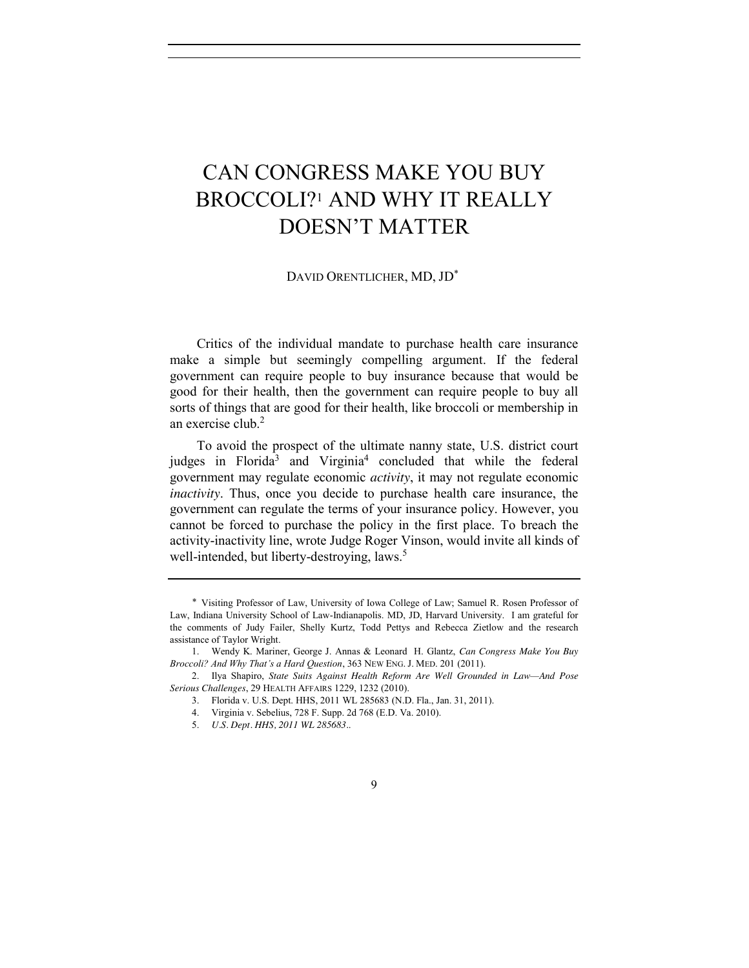# CAN CONGRESS MAKE YOU BUY BROCCOLI?1 AND WHY IT REALLY DOESN'T MATTER

DAVID ORENTLICHER, MD, JD\*

Critics of the individual mandate to purchase health care insurance make a simple but seemingly compelling argument. If the federal government can require people to buy insurance because that would be good for their health, then the government can require people to buy all sorts of things that are good for their health, like broccoli or membership in an exercise club.2

To avoid the prospect of the ultimate nanny state, U.S. district court judges in Florida<sup>3</sup> and Virginia<sup>4</sup> concluded that while the federal government may regulate economic *activity*, it may not regulate economic *inactivity*. Thus, once you decide to purchase health care insurance, the government can regulate the terms of your insurance policy. However, you cannot be forced to purchase the policy in the first place. To breach the activity-inactivity line, wrote Judge Roger Vinson, would invite all kinds of well-intended, but liberty-destroying, laws.<sup>5</sup>

 <sup>\*</sup> Visiting Professor of Law, University of Iowa College of Law; Samuel R. Rosen Professor of Law, Indiana University School of Law-Indianapolis. MD, JD, Harvard University. I am grateful for the comments of Judy Failer, Shelly Kurtz, Todd Pettys and Rebecca Zietlow and the research assistance of Taylor Wright.

<sup>1.</sup> Wendy K. Mariner, George J. Annas & Leonard H. Glantz, *Can Congress Make You Buy Broccoli? And Why That's a Hard Question*, 363 NEW ENG. J. MED. 201 (2011).

<sup>2.</sup> Ilya Shapiro, *State Suits Against Health Reform Are Well Grounded in Law—And Pose Serious Challenges*, 29 HEALTH AFFAIRS 1229, 1232 (2010).

<sup>3.</sup> Florida v. U.S. Dept. HHS, 2011 WL 285683 (N.D. Fla., Jan. 31, 2011).

<sup>4.</sup> Virginia v. Sebelius, 728 F. Supp. 2d 768 (E.D. Va. 2010).

<sup>5.</sup> *U.S. Dept. HHS, 2011 WL 285683.*.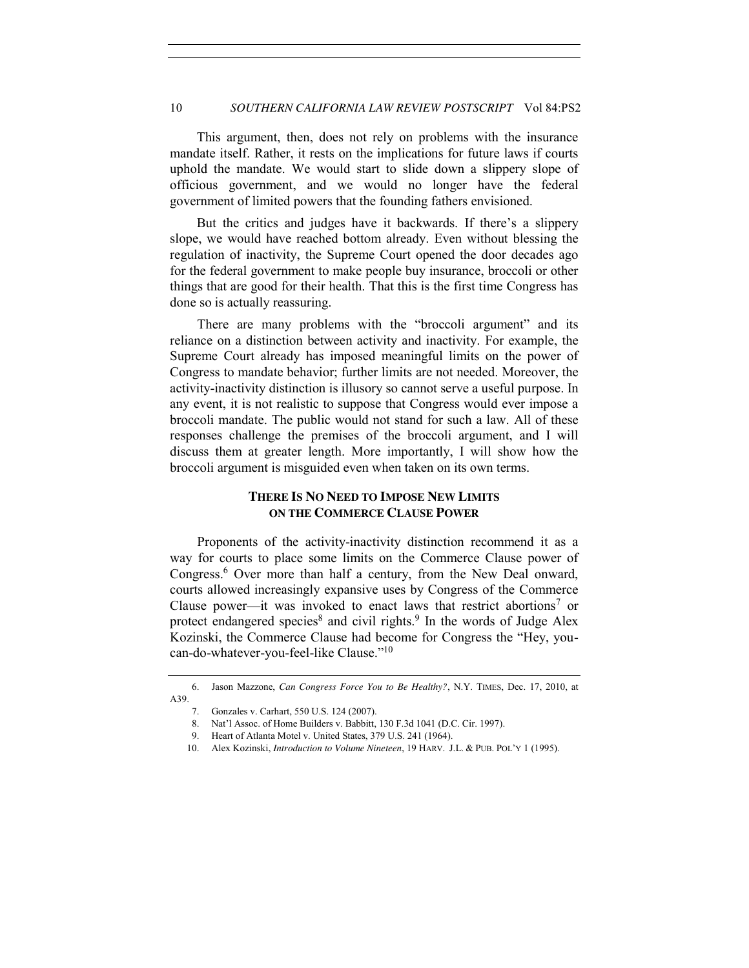#### 10 *SOUTHERN CALIFORNIA LAW REVIEW POSTSCRIPT* Vol 84:PS2

This argument, then, does not rely on problems with the insurance mandate itself. Rather, it rests on the implications for future laws if courts uphold the mandate. We would start to slide down a slippery slope of officious government, and we would no longer have the federal government of limited powers that the founding fathers envisioned.

But the critics and judges have it backwards. If there's a slippery slope, we would have reached bottom already. Even without blessing the regulation of inactivity, the Supreme Court opened the door decades ago for the federal government to make people buy insurance, broccoli or other things that are good for their health. That this is the first time Congress has done so is actually reassuring.

There are many problems with the "broccoli argument" and its reliance on a distinction between activity and inactivity. For example, the Supreme Court already has imposed meaningful limits on the power of Congress to mandate behavior; further limits are not needed. Moreover, the activity-inactivity distinction is illusory so cannot serve a useful purpose. In any event, it is not realistic to suppose that Congress would ever impose a broccoli mandate. The public would not stand for such a law. All of these responses challenge the premises of the broccoli argument, and I will discuss them at greater length. More importantly, I will show how the broccoli argument is misguided even when taken on its own terms.

### **THERE IS NO NEED TO IMPOSE NEW LIMITS ON THE COMMERCE CLAUSE POWER**

Proponents of the activity-inactivity distinction recommend it as a way for courts to place some limits on the Commerce Clause power of Congress.<sup>6</sup> Over more than half a century, from the New Deal onward, courts allowed increasingly expansive uses by Congress of the Commerce Clause power—it was invoked to enact laws that restrict abortions<sup>7</sup> or protect endangered species<sup>8</sup> and civil rights.<sup>9</sup> In the words of Judge Alex Kozinski, the Commerce Clause had become for Congress the "Hey, youcan-do-whatever-you-feel-like Clause."<sup>10</sup>

<sup>6.</sup> Jason Mazzone, *Can Congress Force You to Be Healthy?*, N.Y. TIMES, Dec. 17, 2010, at A39.

<sup>7.</sup> Gonzales v. Carhart, 550 U.S. 124 (2007).

<sup>8.</sup> Nat'l Assoc. of Home Builders v. Babbitt, 130 F.3d 1041 (D.C. Cir. 1997).

<sup>9.</sup> Heart of Atlanta Motel v. United States, 379 U.S. 241 (1964).

<sup>10.</sup> Alex Kozinski, *Introduction to Volume Nineteen*, 19 HARV. J.L. & PUB. POL'Y 1 (1995).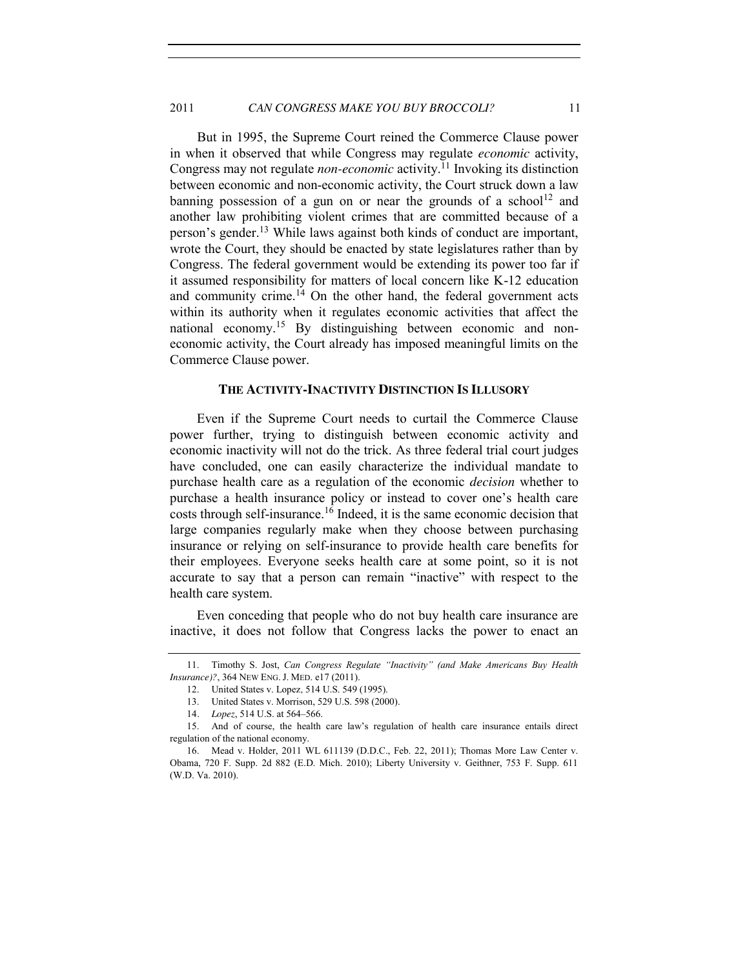#### 2011 **CAN CONGRESS MAKE YOU BUY BROCCOLI?** 11

But in 1995, the Supreme Court reined the Commerce Clause power in when it observed that while Congress may regulate *economic* activity, Congress may not regulate *non-economic* activity.<sup>11</sup> Invoking its distinction between economic and non-economic activity, the Court struck down a law banning possession of a gun on or near the grounds of a school<sup>12</sup> and another law prohibiting violent crimes that are committed because of a person's gender.<sup>13</sup> While laws against both kinds of conduct are important, wrote the Court, they should be enacted by state legislatures rather than by Congress. The federal government would be extending its power too far if it assumed responsibility for matters of local concern like K-12 education and community crime.<sup>14</sup> On the other hand, the federal government acts within its authority when it regulates economic activities that affect the national economy.<sup>15</sup> By distinguishing between economic and noneconomic activity, the Court already has imposed meaningful limits on the Commerce Clause power.

#### **THE ACTIVITY-INACTIVITY DISTINCTION IS ILLUSORY**

Even if the Supreme Court needs to curtail the Commerce Clause power further, trying to distinguish between economic activity and economic inactivity will not do the trick. As three federal trial court judges have concluded, one can easily characterize the individual mandate to purchase health care as a regulation of the economic *decision* whether to purchase a health insurance policy or instead to cover one's health care costs through self-insurance.<sup>16</sup> Indeed, it is the same economic decision that large companies regularly make when they choose between purchasing insurance or relying on self-insurance to provide health care benefits for their employees. Everyone seeks health care at some point, so it is not accurate to say that a person can remain "inactive" with respect to the health care system.

Even conceding that people who do not buy health care insurance are inactive, it does not follow that Congress lacks the power to enact an

<sup>11.</sup> Timothy S. Jost, *Can Congress Regulate "Inactivity" (and Make Americans Buy Health Insurance)?*, 364 NEW ENG. J. MED. e17 (2011).

<sup>12.</sup> United States v. Lopez*,* 514 U.S. 549 (1995).

<sup>13.</sup> United States v. Morrison, 529 U.S. 598 (2000).

<sup>14</sup>*. Lopez*, 514 U.S. at 564–566.

<sup>15.</sup> And of course, the health care law's regulation of health care insurance entails direct regulation of the national economy.

<sup>16.</sup> Mead v. Holder, 2011 WL 611139 (D.D.C., Feb. 22, 2011); Thomas More Law Center v. Obama, 720 F. Supp. 2d 882 (E.D. Mich. 2010); Liberty University v. Geithner, 753 F. Supp. 611 (W.D. Va. 2010).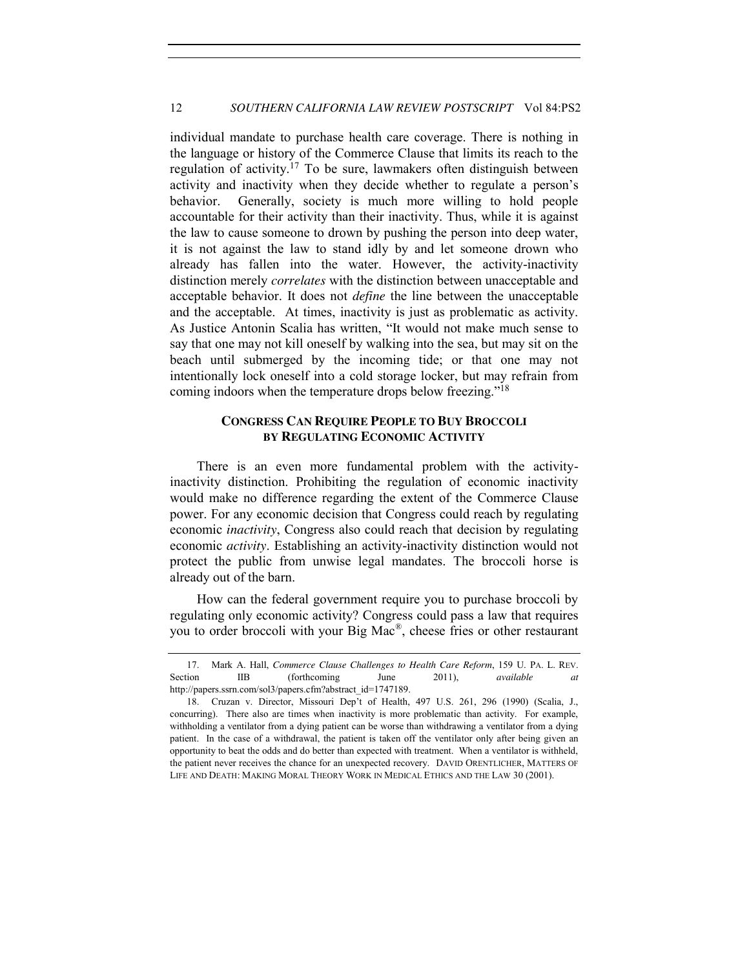individual mandate to purchase health care coverage. There is nothing in the language or history of the Commerce Clause that limits its reach to the regulation of activity.<sup>17</sup> To be sure, lawmakers often distinguish between activity and inactivity when they decide whether to regulate a person's behavior. Generally, society is much more willing to hold people accountable for their activity than their inactivity. Thus, while it is against the law to cause someone to drown by pushing the person into deep water, it is not against the law to stand idly by and let someone drown who already has fallen into the water. However, the activity-inactivity distinction merely *correlates* with the distinction between unacceptable and acceptable behavior. It does not *define* the line between the unacceptable and the acceptable. At times, inactivity is just as problematic as activity. As Justice Antonin Scalia has written, "It would not make much sense to say that one may not kill oneself by walking into the sea, but may sit on the beach until submerged by the incoming tide; or that one may not intentionally lock oneself into a cold storage locker, but may refrain from coming indoors when the temperature drops below freezing."<sup>18</sup>

## **CONGRESS CAN REQUIRE PEOPLE TO BUY BROCCOLI BY REGULATING ECONOMIC ACTIVITY**

There is an even more fundamental problem with the activityinactivity distinction. Prohibiting the regulation of economic inactivity would make no difference regarding the extent of the Commerce Clause power. For any economic decision that Congress could reach by regulating economic *inactivity*, Congress also could reach that decision by regulating economic *activity*. Establishing an activity-inactivity distinction would not protect the public from unwise legal mandates. The broccoli horse is already out of the barn.

How can the federal government require you to purchase broccoli by regulating only economic activity? Congress could pass a law that requires you to order broccoli with your Big Mac®, cheese fries or other restaurant

<sup>17.</sup> Mark A. Hall, *Commerce Clause Challenges to Health Care Reform*, 159 U. PA. L. REV. Section IIB (forthcoming June 2011), *available at* http://papers.ssrn.com/sol3/papers.cfm?abstract\_id=1747189.

<sup>18.</sup> Cruzan v. Director, Missouri Dep't of Health, 497 U.S. 261, 296 (1990) (Scalia, J., concurring). There also are times when inactivity is more problematic than activity. For example, withholding a ventilator from a dying patient can be worse than withdrawing a ventilator from a dying patient. In the case of a withdrawal, the patient is taken off the ventilator only after being given an opportunity to beat the odds and do better than expected with treatment. When a ventilator is withheld, the patient never receives the chance for an unexpected recovery. DAVID ORENTLICHER, MATTERS OF LIFE AND DEATH: MAKING MORAL THEORY WORK IN MEDICAL ETHICS AND THE LAW 30 (2001).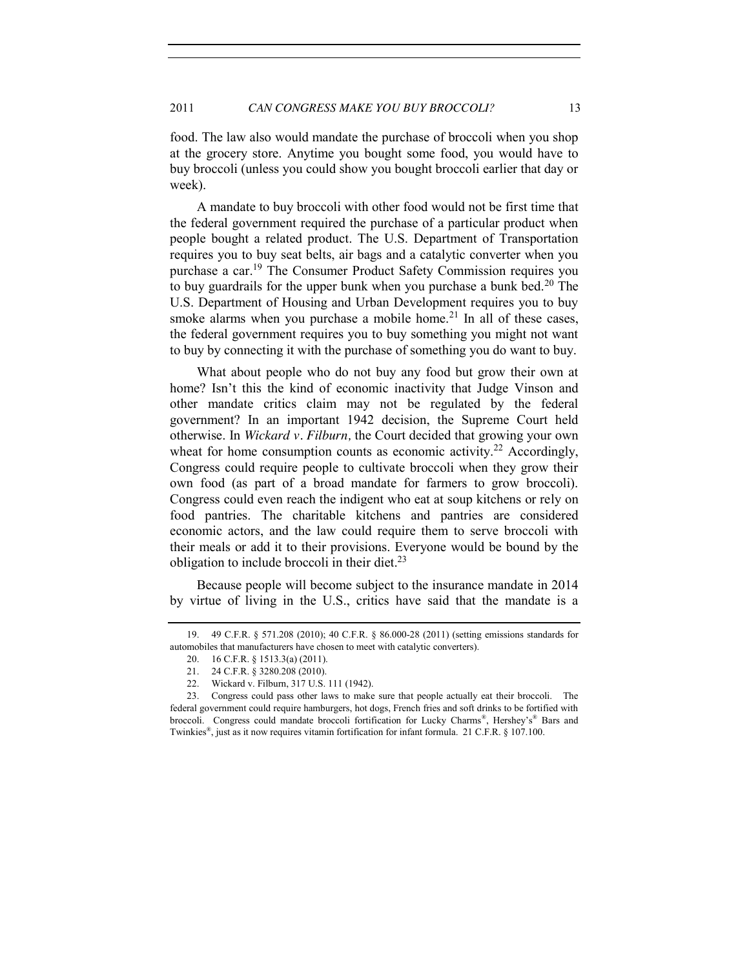food. The law also would mandate the purchase of broccoli when you shop at the grocery store. Anytime you bought some food, you would have to buy broccoli (unless you could show you bought broccoli earlier that day or week).

A mandate to buy broccoli with other food would not be first time that the federal government required the purchase of a particular product when people bought a related product. The U.S. Department of Transportation requires you to buy seat belts, air bags and a catalytic converter when you purchase a car.<sup>19</sup> The Consumer Product Safety Commission requires you to buy guardrails for the upper bunk when you purchase a bunk bed.<sup>20</sup> The U.S. Department of Housing and Urban Development requires you to buy smoke alarms when you purchase a mobile home.<sup>21</sup> In all of these cases, the federal government requires you to buy something you might not want to buy by connecting it with the purchase of something you do want to buy.

What about people who do not buy any food but grow their own at home? Isn't this the kind of economic inactivity that Judge Vinson and other mandate critics claim may not be regulated by the federal government? In an important 1942 decision, the Supreme Court held otherwise. In *Wickard v. Filburn,* the Court decided that growing your own wheat for home consumption counts as economic activity.<sup>22</sup> Accordingly, Congress could require people to cultivate broccoli when they grow their own food (as part of a broad mandate for farmers to grow broccoli). Congress could even reach the indigent who eat at soup kitchens or rely on food pantries. The charitable kitchens and pantries are considered economic actors, and the law could require them to serve broccoli with their meals or add it to their provisions. Everyone would be bound by the obligation to include broccoli in their diet. $^{23}$ 

Because people will become subject to the insurance mandate in 2014 by virtue of living in the U.S., critics have said that the mandate is a

<sup>19.</sup> 49 C.F.R. § 571.208 (2010); 40 C.F.R. [§ 86.000-28](javascript:void(pToc.tc2dc() (2011) (setting emissions standards for automobiles that manufacturers have chosen to meet with catalytic converters).

<sup>20.</sup> 16 C.F.R. § 1513.3(a) (2011).

<sup>21.</sup> 24 C.F.R. § 3280.208 (2010).

<sup>22.</sup> Wickard v. Filburn, 317 U.S. 111 (1942).

<sup>23.</sup> Congress could pass other laws to make sure that people actually eat their broccoli. The federal government could require hamburgers, hot dogs, French fries and soft drinks to be fortified with broccoli. Congress could mandate broccoli fortification for Lucky Charms®, Hershey's® Bars and Twinkies®, just as it now requires vitamin fortification for infant formula. 21 C.F.R. § 107.100.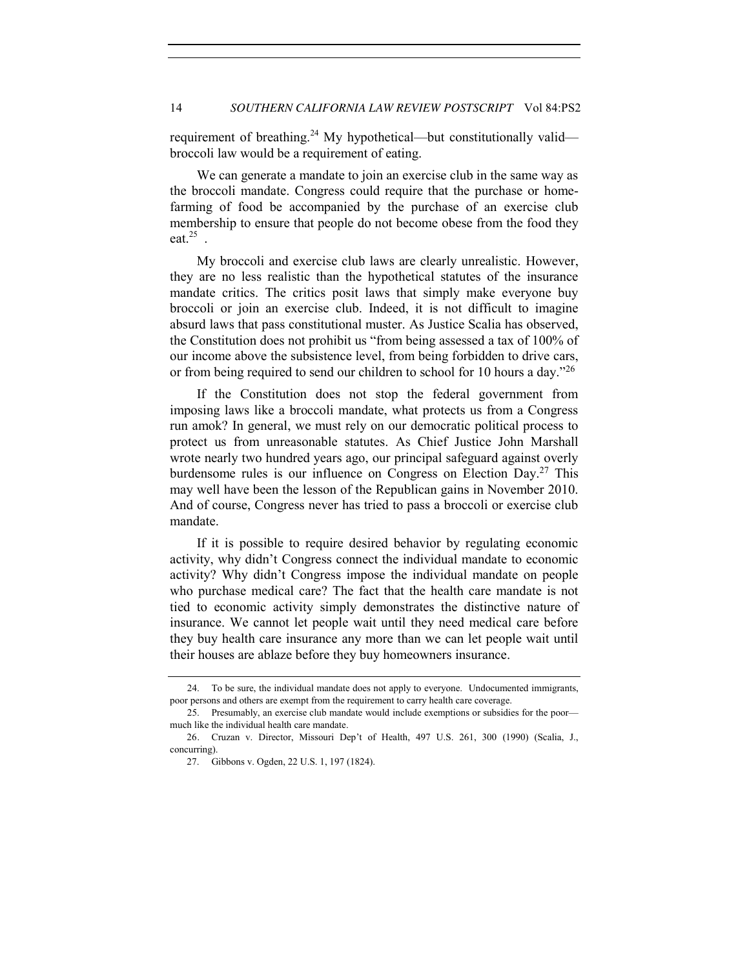requirement of breathing.<sup>24</sup> My hypothetical—but constitutionally valid broccoli law would be a requirement of eating.

We can generate a mandate to join an exercise club in the same way as the broccoli mandate. Congress could require that the purchase or homefarming of food be accompanied by the purchase of an exercise club membership to ensure that people do not become obese from the food they eat. $25$ 

My broccoli and exercise club laws are clearly unrealistic. However, they are no less realistic than the hypothetical statutes of the insurance mandate critics. The critics posit laws that simply make everyone buy broccoli or join an exercise club. Indeed, it is not difficult to imagine absurd laws that pass constitutional muster. As Justice Scalia has observed, the Constitution does not prohibit us "from being assessed a tax of 100% of our income above the subsistence level, from being forbidden to drive cars, or from being required to send our children to school for 10 hours a day.<sup>726</sup>

If the Constitution does not stop the federal government from imposing laws like a broccoli mandate, what protects us from a Congress run amok? In general, we must rely on our democratic political process to protect us from unreasonable statutes. As Chief Justice John Marshall wrote nearly two hundred years ago, our principal safeguard against overly burdensome rules is our influence on Congress on Election  $Day<sup>27</sup>$ . This may well have been the lesson of the Republican gains in November 2010. And of course, Congress never has tried to pass a broccoli or exercise club mandate.

If it is possible to require desired behavior by regulating economic activity, why didn't Congress connect the individual mandate to economic activity? Why didn't Congress impose the individual mandate on people who purchase medical care? The fact that the health care mandate is not tied to economic activity simply demonstrates the distinctive nature of insurance. We cannot let people wait until they need medical care before they buy health care insurance any more than we can let people wait until their houses are ablaze before they buy homeowners insurance.

<sup>24.</sup> To be sure, the individual mandate does not apply to everyone. Undocumented immigrants, poor persons and others are exempt from the requirement to carry health care coverage.

<sup>25.</sup> Presumably, an exercise club mandate would include exemptions or subsidies for the poor much like the individual health care mandate.

<sup>26</sup>*.* Cruzan v. Director, Missouri Dep't of Health, 497 U.S. 261, 300 (1990) (Scalia, J., concurring).

<sup>27.</sup> Gibbons v. Ogden, 22 U.S. 1, 197 (1824).